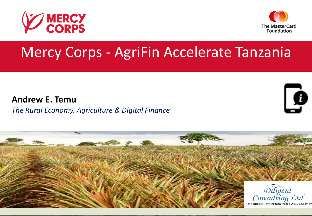



# Mercy Corps - AgriFin Accelerate Tanzania

**Andrew E. Temu** *The Rural Economy, Agriculture & Digital Finance*



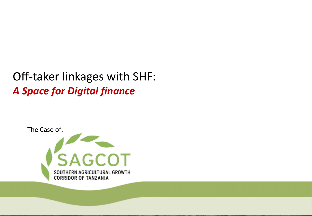# Off-taker linkages with SHF: *A Space for Digital finance*

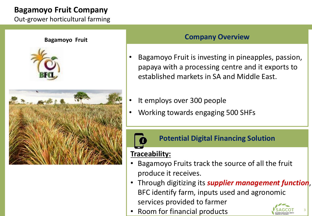# **Bagamoyo Fruit Company**

Out-grower horticultural farming

#### **Bagamoyo Fruit**





## **Company Overview**

- Bagamoyo Fruit is investing in pineapples, passion, papaya with a processing centre and it exports to established markets in SA and Middle East.
- It employs over 300 people
- Working towards engaging 500 SHFs

### **Potential Digital Financing Solution**

# **Traceability:**

- Bagamoyo Fruits track the source of all the fruit produce it receives.
- Through digitizing its *supplier management function*, BFC identify farm, inputs used and agronomic services provided to farmer
- Room for financial products



3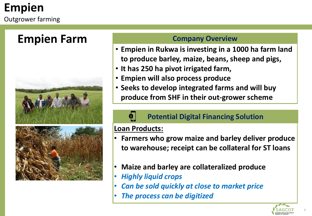# **Empien Farm**



#### **Company Overview**

- **Empien in Rukwa is investing in a 1000 ha farm land to produce barley, maize, beans, sheep and pigs,**
- **It has 250 ha pivot irrigated farm,**
- **Empien will also process produce**
- **Seeks to develop integrated farms and will buy produce from SHF in their out-grower scheme**

## **Potential Digital Financing Solution**

## **Loan Products:**

 $\mathbf{a}$ 

- **Farmers who grow maize and barley deliver produce to warehouse; receipt can be collateral for ST loans**
- **Maize and barley are collateralized produce**
- *Highly liquid crops*
- *Can be sold quickly at close to market price*
- *The process can be digitized*

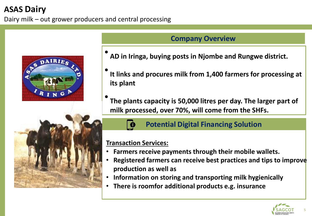# **ASAS Dairy**

Dairy milk – out grower producers and central processing





#### **Company Overview**

- **AD in Iringa, buying posts in Njombe and Rungwe district.**
- **It links and procures milk from 1,400 farmers for processing at its plant**
- **The plants capacity is 50,000 litres per day. The larger part of milk processed, over 70%, will come from the SHFs.**



#### **Potential Digital Financing Solution**

#### **Transaction Services:**

- **Farmers receive payments through their mobile wallets.**
- **Registered farmers can receive best practices and tips to improve production as well as**
- **Information on storing and transporting milk hygienically**
- **There is roomfor additional products e.g. insurance**

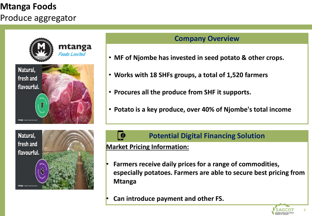# **Mtanga Foods**

Produce aggregator



#### **Company Overview**

- **MF of Njombe has invested in seed potato & other crops.**
- **Works with 18 SHFs groups, a total of 1,520 farmers**
- **Procures all the produce from SHF it supports.**
- **Potato is a key produce, over 40% of Njombe's total income**



#### **Potential Digital Financing Solution**

#### **Market Pricing Information:**

 $\bullet$ 

- **Farmers receive daily prices for a range of commodities, especially potatoes. Farmers are able to secure best pricing from Mtanga**
- **Can introduce payment and other FS.**

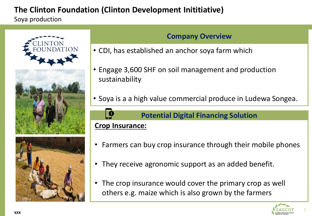# **The Clinton Foundation (Clinton Development Inititiative)**

Soya production







### **Company Overview**

- CDI, has established an anchor soya farm which
- Engage 3,600 SHF on soil management and production sustainability
- Soya is a a high value commercial produce in Ludewa Songea.



#### **Potential Digital Financing Solution**

# **Crop Insurance:**

- Farmers can buy crop insurance through their mobile phones
- They receive agronomic support as an added benefit.
- The crop insurance would cover the primary crop as well others e.g. maize which is also grown by the farmers



7